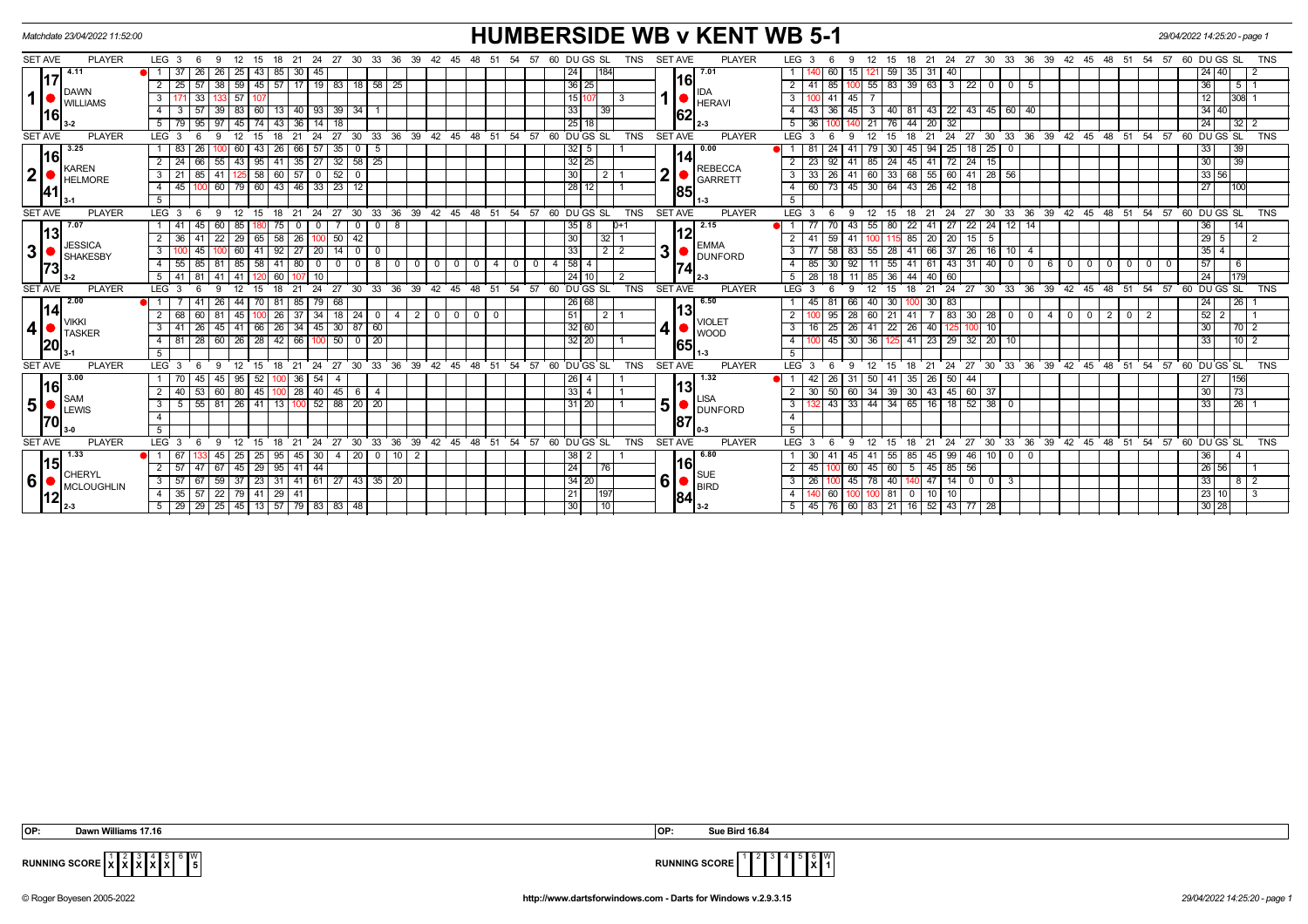| <b>PLAYER</b><br>LEG <sub>3</sub><br><b>SET AVE</b><br><b>PLAYER</b><br>LEG <sub>3</sub><br>27 30 33 36<br><b>TNS</b><br>12<br>15 18 21<br>24 27<br>- 30<br>33 36<br>39<br>60 DU GS SL<br>TNS<br>18 21 24<br>39 42 45<br>48 51<br>54<br>57<br>60 DU GS SL<br>- 6<br>- 9<br>42<br>48<br>57<br>12<br>15<br>45<br>54<br>-37<br>$35 \mid 31$<br>$24 \overline{40}$<br>4.11<br>26<br>25 <sub>1</sub><br>$43 \mid 85 \mid$<br>30   45<br>24<br>7.01<br>59<br>40<br>-26 I<br>15<br>60<br>'17<br>1161<br>  36  <br>$55 \mid 83 \mid 39 \mid 63 \mid 3 \mid 22 \mid 0$<br>25<br>38<br>59   45   57   17   19   83   18   58   25<br>$\overline{2}$<br>36<br>57  <br>25  <br>41<br>$\sqrt{85}$<br>- 5<br>5<br>100<br>$^{\circ}$<br>DAWN<br>1 <sup>1</sup><br>15<br>45<br>57<br>12<br>33 <sup>1</sup><br>3 <sup>1</sup><br>$100$   41<br>308<br>3<br>3<br>133<br><b>HERAVI</b><br><b>WILLIAMS</b><br>33<br>34   40<br>39 83 60 13 40 93 39 34<br>45 3 40 81<br>43 22 43 45 60 40<br> 39 <br>4<br>$-43$ 36<br>$\mathbf{3}$<br>57  <br>62<br>16<br>$\overline{25}$<br>24<br>5<br>32<br>  32  <br>-95 I<br>45 74 43<br>$36$ 14 18<br>18 I<br>36<br>44<br>20<br>5   79  <br>97<br>21<br>76<br><b>PLAYER</b><br>24 27 30 33 36 39 42 45 48 51 54 57 60 DUGS SL<br>TNS<br><b>SET AVE</b><br><b>PLAYER</b><br>LEG <sup>3</sup><br>21 24 27 30 33 36 39 42 45 48 51 54 57 60 DUGS SL<br><b>TNS</b><br>LEG <sup>3</sup><br>12<br>18<br>21<br>12<br>18<br>- 6<br>- 15<br>Q<br>15<br>3.25<br>0.00<br>32<br>33<br>39<br>66 57 35<br>5<br>-81<br>30 <sup>1</sup><br>$18$   25  <br>83<br>60<br>26<br>$\frac{24}{}$<br>45<br>94<br>-25 I<br>-43<br>- 0<br>0<br>16<br>14<br>$35 \mid 27 \mid 32 \mid 58 \mid 25$<br>32 25<br>45<br>41 72 24 15<br>30<br>39<br>24<br>55<br>43 95 41<br>23<br>$85 \mid 24$<br>2<br>66 I<br>$\overline{2}$<br>  92<br>41<br>$\overline{\phantom{a}}$ KAREN<br><b>REBECCA</b><br>2  <br>2<br>$58$ 60<br>$57$   0<br>52<br>30<br>33<br>33<br>68<br>55 60 41 28 56<br>33 56 <br>21<br>41<br>3 <sup>1</sup><br>60<br>3<br>85<br>26<br>41<br>$\Omega$<br>2 I<br><b>GARRETT</b><br><b>HELMORE</b><br>$46$ 33 23<br>45<br>30   64<br>43 26 42 18<br>27<br>45<br>60<br>79<br>60 43<br>12<br>28<br>$4 \vert$<br>60 73<br>100<br>12 I<br>4<br>41<br>185<br>5<br>5<br><b>PLAYER</b><br>36<br>39 42 45 48 51 54 57 60 DUGS SL<br><b>TNS</b><br><b>SET AVE</b><br><b>PLAYER</b><br>$LEG$ 3<br>30<br>$33^\circ$<br>36 39 42 45 48 51 54 57 60 DUGS SL<br><b>TNS</b><br>LEG <sub>3</sub><br>$12 \overline{ }$<br>24<br>27<br>30<br>- 33<br>21<br>24<br>27<br>- 6<br>-9<br>15<br>18<br>21<br>15<br>2.15<br>43<br>$\overline{22}$<br>27<br> 22 24 <br>36<br>7.07<br> 41<br>60<br>85<br>75<br>$35 \mid 8$<br>55<br>80<br>41<br>$12$   14<br>14<br>45 I<br>$\mathbf{0}$<br>8<br>0<br>0<br> 13 <br>12<br>30<br>$29 \mid 5$<br>29 65<br>58<br>$100$ 50<br>85<br>$20$   15  5<br>36<br>22<br>26<br>42<br>32 <br>2 <sup>1</sup><br>41<br>59<br>41<br>$\overline{20}$<br><b>JESSICA</b><br><b>EMMA</b><br>31<br>3<br> 33 <br>92<br>$27$   20   14   0   0<br>83<br>$37$   26   16   10  <br>$35$   4<br>60<br>$55$ 28<br>66<br>3<br>45 <sub>1</sub><br>2 2<br>3 <sup>1</sup><br>58<br>41<br>41  <br>-4<br><b>SHAKESBY</b><br><b>DUNFORD</b><br>$-4$ 58<br>92<br>800000<br> 43 31 40 0 <br>57<br>55<br>85<br>$58 \mid 41$<br>$80 0 0$<br>$\overline{4}$<br>$85 \mid 30$<br>55<br>$\overline{0}$<br>$60$<br>85 I<br>81<br>41<br>61<br>$\overline{0}$<br>$0$ 0<br>$0$ 0<br>$\overline{6}$<br>$\overline{4}$<br>$\overline{0}$<br>$\circ$ 1<br>73<br>174<br>24<br>41<br>60<br>10<br>$\overline{24}$<br>5<br>11<br>85 36<br>44<br>$40 \ 60$<br>1179<br>5   41<br>81<br>41<br>10 <sub>l</sub><br>2<br>$2 - 3$<br><b>PLAYER</b><br>24 27 30 33 36 39 42 45 48 51 54 57 60 DUGS SL<br><b>PLAYER</b><br>24<br>27 30 33 36 39 42 45 48 51 54 57 60 DUGS SL<br>LEG <sup>3</sup><br>12<br>18<br>21<br><b>TNS</b><br><b>SET AVE</b><br>LEG <sup>3</sup><br>12<br>15<br>21<br><b>TNS</b><br>- 6<br>9<br>15<br>9<br>18<br>2.00<br> 26 68 <br>6.50<br>24<br> 26 <br>26<br>85 79 68<br>40 30<br>83<br>44 70 81<br>45 81<br>66<br>30<br>DI 1<br>114 <sub>l</sub><br>13<br>$\overline{51}$<br>83 30 28 0<br>$52$   2<br>$100$ 26<br>$37$   34   18   24   0   4   2   0<br>$\overline{0}$<br>28<br>$2$ 0<br>l 68<br>81<br>45<br>$0$   0<br>60 21<br>$\overline{2}$<br>- 60 I<br>)I 95<br>41<br>$\mathbf{0}$<br>I4 I 0<br>$\Omega$<br>l 2 I<br><b>VIOLET</b><br><b>VIKKI</b><br>4 <br>$32   60$<br>45 41 66 26 34 45 30 87 60<br>26 41 22 26<br>3<br>$16$   25<br>40<br>10<br>30<br>$\mathbf{3}$<br>41<br>- 26 I<br>$\overline{70}$ 2<br>10C<br><b>WOOD</b><br><b>TASKER</b><br>32 20 <br>33<br>$10$   2<br>  28   60   26   28   42   66   100   50   0   20<br>100 45 30 36 125 41 23 29 32 20 10<br>81<br>$\overline{4}$<br>4<br> 20<br>165<br>5 <sup>5</sup><br>-5<br>45 48 51<br><b>TNS</b><br>39 42 45<br>48 51<br>54 57 60 DUGS SL<br><b>PLAYER</b><br><b>LEG</b><br>27<br>$33^\circ$<br>36<br>39 42<br>$-54$<br>57<br>60 DUGS SL<br><b>SET AVE</b><br><b>PLAYER</b><br>LEG <sup>'</sup><br>24<br>27<br>30<br>33 <sup>°</sup><br>36<br><b>TNS</b><br>24<br>30<br>18<br>21<br>18<br>21<br>3.00<br>$36$   54   4<br>1.32<br>35<br>$50 \mid 44$<br>27<br>45<br>95<br> 26 <br>31<br>50<br>-41<br>26<br>156<br>-26<br> 16 <br>13<br>33<br>28   40   45  <br>60<br>30 <sup>1</sup><br>43 45 60 37<br>60<br>80<br>$-45$<br>$34 \mid 39$<br>30 <sup>°</sup><br>40<br>53 I<br>2 <sup>1</sup><br>30   50  <br>73<br>2 <sup>1</sup><br>- 6<br>100<br><b>SAM</b><br><b>LISA</b><br>5  <br>5<br>$26$ 41 13<br>$100$ 52 88 20 20<br>33<br>44 34 65 16 18 52 38<br> 26 <br>$55$ 81<br> 31 20 <br>$\overline{3}$<br>33<br>$\vert$ 43<br>3<br>-5<br>$\overline{\mathbf{0}}$<br>LEWIS<br><b>DUNFORD</b><br>$\overline{4}$<br>$\overline{4}$<br> 70<br>87<br>5<br>5<br><b>PLAYER</b><br>LEG <sub>3</sub><br>$24 \quad 27$<br>33 36<br>39 42 45 48 51<br>$54 \t57$<br>60 DUGS SL<br><b>PLAYER</b><br>LEG <sup>'</sup><br>24<br>27<br>30 33 36 39 42 45<br>48 51 54 57 60 DUGS SL<br>12<br>18<br>ີ 21<br>$\frac{1}{30}$<br><b>TNS</b><br><b>SET AVE</b><br>12<br>21<br><b>TNS</b><br>- 6<br>- 9<br>15<br>-3<br>9<br>15<br>18<br>- 6<br>$45$ 30 $\mid$ 4 $\mid$ 20 $\mid$ 0 $\mid$ 10 $\mid$ 2<br>99   46   10   0<br>1.33<br>$\overline{38}$<br>6.80<br>55<br>85<br>67<br>45<br>25<br>- 25 I<br>95<br>$\overline{2}$<br>30 I 41<br>45<br>$45 \vert$<br>$\overline{0}$<br>36 <br>$\overline{4}$<br>-41<br> 15 <br><b>16</b><br>24<br>60<br>85<br>26 56 <br>57<br>67<br>45<br>29<br>95<br>41<br>$-44$<br>$\overline{2}$<br>$45 \ 60$<br>45<br>56<br>2<br>l 76 l<br>45<br>5<br>47<br>CHERYL<br><b>SUE</b><br>61<br>6<br>33<br>$3 \mid 57$<br>59<br>37   23   31   41   61   27   43   35   20<br> 34 20 <br>26 100<br>45<br>78 40<br>$47$ 14 0<br>67<br>3<br>$82$<br>140<br><b>BIRD</b><br>MCLOUGHLIN<br>$\sqrt{23}$ 10<br>57 22 79 41 29 41<br>$4 \mid 35 \mid$<br>21<br>10 <sup>1</sup><br>4<br>$140$ 60<br>$100$ 81<br>$\mathbf 0$<br>197<br>100 <sub>1</sub><br>10 <sub>1</sub><br>12 <br>184<br>$\overline{30}$<br>$30 28$<br>5 29 29 25 45 13 57 79 83 83 48<br>$5$   45   76   60   83   21   16   52   43   77   28<br>110 | <b>HUMBERSIDE WB v KENT WB 5-1</b><br>Matchdate 23/04/2022 11:52:00<br>29/04/2022 14:25:20 - page 1 |  |  |  |  |  |  |  |
|--------------------------------------------------------------------------------------------------------------------------------------------------------------------------------------------------------------------------------------------------------------------------------------------------------------------------------------------------------------------------------------------------------------------------------------------------------------------------------------------------------------------------------------------------------------------------------------------------------------------------------------------------------------------------------------------------------------------------------------------------------------------------------------------------------------------------------------------------------------------------------------------------------------------------------------------------------------------------------------------------------------------------------------------------------------------------------------------------------------------------------------------------------------------------------------------------------------------------------------------------------------------------------------------------------------------------------------------------------------------------------------------------------------------------------------------------------------------------------------------------------------------------------------------------------------------------------------------------------------------------------------------------------------------------------------------------------------------------------------------------------------------------------------------------------------------------------------------------------------------------------------------------------------------------------------------------------------------------------------------------------------------------------------------------------------------------------------------------------------------------------------------------------------------------------------------------------------------------------------------------------------------------------------------------------------------------------------------------------------------------------------------------------------------------------------------------------------------------------------------------------------------------------------------------------------------------------------------------------------------------------------------------------------------------------------------------------------------------------------------------------------------------------------------------------------------------------------------------------------------------------------------------------------------------------------------------------------------------------------------------------------------------------------------------------------------------------------------------------------------------------------------------------------------------------------------------------------------------------------------------------------------------------------------------------------------------------------------------------------------------------------------------------------------------------------------------------------------------------------------------------------------------------------------------------------------------------------------------------------------------------------------------------------------------------------------------------------------------------------------------------------------------------------------------------------------------------------------------------------------------------------------------------------------------------------------------------------------------------------------------------------------------------------------------------------------------------------------------------------------------------------------------------------------------------------------------------------------------------------------------------------------------------------------------------------------------------------------------------------------------------------------------------------------------------------------------------------------------------------------------------------------------------------------------------------------------------------------------------------------------------------------------------------------------------------------------------------------------------------------------------------------------------------------------------------------------------------------------------------------------------------------------------------------------------------------------------------------------------------------------------------------------------------------------------------------------------------------------------------------------------------------------------------------------------------------------------------------------------------------------------------------------------------------------------------------------------------------------------------------------------------------------------------------------------------------------------------------------------------------------------------------------------------------------------------------------------------------------------------------------------------------------------------------------------------------------------------------------------------------------------------------------------------------------------------------------------------------------------------------------------------------------------------------------------------------------------------------------------------------------------------------------------------------------------------------------------------------------------------------------------------------------------------------------------------------------------------------------------------------------------------------------------------------------------------------------------------------------------------------------------------------------------------------------------------------------------------------------------------------------------------------------------------------------------------------------------------------------------------------------------------------------------------------------------------------------------------------------------------------------------------------------------------------------------------------------------------------------------------------------------------------------------------------------------------------------------------------------------------------------------------------------------------------------------------------------------------------------------------------------------------------------------------------------|-----------------------------------------------------------------------------------------------------|--|--|--|--|--|--|--|
| <b>SET AVE</b><br><b>SET AVE</b><br><b>SET AVE</b><br><b>SET AVE</b><br><b>SET AVE</b>                                                                                                                                                                                                                                                                                                                                                                                                                                                                                                                                                                                                                                                                                                                                                                                                                                                                                                                                                                                                                                                                                                                                                                                                                                                                                                                                                                                                                                                                                                                                                                                                                                                                                                                                                                                                                                                                                                                                                                                                                                                                                                                                                                                                                                                                                                                                                                                                                                                                                                                                                                                                                                                                                                                                                                                                                                                                                                                                                                                                                                                                                                                                                                                                                                                                                                                                                                                                                                                                                                                                                                                                                                                                                                                                                                                                                                                                                                                                                                                                                                                                                                                                                                                                                                                                                                                                                                                                                                                                                                                                                                                                                                                                                                                                                                                                                                                                                                                                                                                                                                                                                                                                                                                                                                                                                                                                                                                                                                                                                                                                                                                                                                                                                                                                                                                                                                                                                                                                                                                                                                                                                                                                                                                                                                                                                                                                                                                                                                                                                                                                                                                                                                                                                                                                                                                                                                                                                                                                                                                                                                                                                   | <b>SET AVE</b>                                                                                      |  |  |  |  |  |  |  |
|                                                                                                                                                                                                                                                                                                                                                                                                                                                                                                                                                                                                                                                                                                                                                                                                                                                                                                                                                                                                                                                                                                                                                                                                                                                                                                                                                                                                                                                                                                                                                                                                                                                                                                                                                                                                                                                                                                                                                                                                                                                                                                                                                                                                                                                                                                                                                                                                                                                                                                                                                                                                                                                                                                                                                                                                                                                                                                                                                                                                                                                                                                                                                                                                                                                                                                                                                                                                                                                                                                                                                                                                                                                                                                                                                                                                                                                                                                                                                                                                                                                                                                                                                                                                                                                                                                                                                                                                                                                                                                                                                                                                                                                                                                                                                                                                                                                                                                                                                                                                                                                                                                                                                                                                                                                                                                                                                                                                                                                                                                                                                                                                                                                                                                                                                                                                                                                                                                                                                                                                                                                                                                                                                                                                                                                                                                                                                                                                                                                                                                                                                                                                                                                                                                                                                                                                                                                                                                                                                                                                                                                                                                                                                                          |                                                                                                     |  |  |  |  |  |  |  |
|                                                                                                                                                                                                                                                                                                                                                                                                                                                                                                                                                                                                                                                                                                                                                                                                                                                                                                                                                                                                                                                                                                                                                                                                                                                                                                                                                                                                                                                                                                                                                                                                                                                                                                                                                                                                                                                                                                                                                                                                                                                                                                                                                                                                                                                                                                                                                                                                                                                                                                                                                                                                                                                                                                                                                                                                                                                                                                                                                                                                                                                                                                                                                                                                                                                                                                                                                                                                                                                                                                                                                                                                                                                                                                                                                                                                                                                                                                                                                                                                                                                                                                                                                                                                                                                                                                                                                                                                                                                                                                                                                                                                                                                                                                                                                                                                                                                                                                                                                                                                                                                                                                                                                                                                                                                                                                                                                                                                                                                                                                                                                                                                                                                                                                                                                                                                                                                                                                                                                                                                                                                                                                                                                                                                                                                                                                                                                                                                                                                                                                                                                                                                                                                                                                                                                                                                                                                                                                                                                                                                                                                                                                                                                                          |                                                                                                     |  |  |  |  |  |  |  |
|                                                                                                                                                                                                                                                                                                                                                                                                                                                                                                                                                                                                                                                                                                                                                                                                                                                                                                                                                                                                                                                                                                                                                                                                                                                                                                                                                                                                                                                                                                                                                                                                                                                                                                                                                                                                                                                                                                                                                                                                                                                                                                                                                                                                                                                                                                                                                                                                                                                                                                                                                                                                                                                                                                                                                                                                                                                                                                                                                                                                                                                                                                                                                                                                                                                                                                                                                                                                                                                                                                                                                                                                                                                                                                                                                                                                                                                                                                                                                                                                                                                                                                                                                                                                                                                                                                                                                                                                                                                                                                                                                                                                                                                                                                                                                                                                                                                                                                                                                                                                                                                                                                                                                                                                                                                                                                                                                                                                                                                                                                                                                                                                                                                                                                                                                                                                                                                                                                                                                                                                                                                                                                                                                                                                                                                                                                                                                                                                                                                                                                                                                                                                                                                                                                                                                                                                                                                                                                                                                                                                                                                                                                                                                                          |                                                                                                     |  |  |  |  |  |  |  |
|                                                                                                                                                                                                                                                                                                                                                                                                                                                                                                                                                                                                                                                                                                                                                                                                                                                                                                                                                                                                                                                                                                                                                                                                                                                                                                                                                                                                                                                                                                                                                                                                                                                                                                                                                                                                                                                                                                                                                                                                                                                                                                                                                                                                                                                                                                                                                                                                                                                                                                                                                                                                                                                                                                                                                                                                                                                                                                                                                                                                                                                                                                                                                                                                                                                                                                                                                                                                                                                                                                                                                                                                                                                                                                                                                                                                                                                                                                                                                                                                                                                                                                                                                                                                                                                                                                                                                                                                                                                                                                                                                                                                                                                                                                                                                                                                                                                                                                                                                                                                                                                                                                                                                                                                                                                                                                                                                                                                                                                                                                                                                                                                                                                                                                                                                                                                                                                                                                                                                                                                                                                                                                                                                                                                                                                                                                                                                                                                                                                                                                                                                                                                                                                                                                                                                                                                                                                                                                                                                                                                                                                                                                                                                                          |                                                                                                     |  |  |  |  |  |  |  |
|                                                                                                                                                                                                                                                                                                                                                                                                                                                                                                                                                                                                                                                                                                                                                                                                                                                                                                                                                                                                                                                                                                                                                                                                                                                                                                                                                                                                                                                                                                                                                                                                                                                                                                                                                                                                                                                                                                                                                                                                                                                                                                                                                                                                                                                                                                                                                                                                                                                                                                                                                                                                                                                                                                                                                                                                                                                                                                                                                                                                                                                                                                                                                                                                                                                                                                                                                                                                                                                                                                                                                                                                                                                                                                                                                                                                                                                                                                                                                                                                                                                                                                                                                                                                                                                                                                                                                                                                                                                                                                                                                                                                                                                                                                                                                                                                                                                                                                                                                                                                                                                                                                                                                                                                                                                                                                                                                                                                                                                                                                                                                                                                                                                                                                                                                                                                                                                                                                                                                                                                                                                                                                                                                                                                                                                                                                                                                                                                                                                                                                                                                                                                                                                                                                                                                                                                                                                                                                                                                                                                                                                                                                                                                                          |                                                                                                     |  |  |  |  |  |  |  |
|                                                                                                                                                                                                                                                                                                                                                                                                                                                                                                                                                                                                                                                                                                                                                                                                                                                                                                                                                                                                                                                                                                                                                                                                                                                                                                                                                                                                                                                                                                                                                                                                                                                                                                                                                                                                                                                                                                                                                                                                                                                                                                                                                                                                                                                                                                                                                                                                                                                                                                                                                                                                                                                                                                                                                                                                                                                                                                                                                                                                                                                                                                                                                                                                                                                                                                                                                                                                                                                                                                                                                                                                                                                                                                                                                                                                                                                                                                                                                                                                                                                                                                                                                                                                                                                                                                                                                                                                                                                                                                                                                                                                                                                                                                                                                                                                                                                                                                                                                                                                                                                                                                                                                                                                                                                                                                                                                                                                                                                                                                                                                                                                                                                                                                                                                                                                                                                                                                                                                                                                                                                                                                                                                                                                                                                                                                                                                                                                                                                                                                                                                                                                                                                                                                                                                                                                                                                                                                                                                                                                                                                                                                                                                                          |                                                                                                     |  |  |  |  |  |  |  |
|                                                                                                                                                                                                                                                                                                                                                                                                                                                                                                                                                                                                                                                                                                                                                                                                                                                                                                                                                                                                                                                                                                                                                                                                                                                                                                                                                                                                                                                                                                                                                                                                                                                                                                                                                                                                                                                                                                                                                                                                                                                                                                                                                                                                                                                                                                                                                                                                                                                                                                                                                                                                                                                                                                                                                                                                                                                                                                                                                                                                                                                                                                                                                                                                                                                                                                                                                                                                                                                                                                                                                                                                                                                                                                                                                                                                                                                                                                                                                                                                                                                                                                                                                                                                                                                                                                                                                                                                                                                                                                                                                                                                                                                                                                                                                                                                                                                                                                                                                                                                                                                                                                                                                                                                                                                                                                                                                                                                                                                                                                                                                                                                                                                                                                                                                                                                                                                                                                                                                                                                                                                                                                                                                                                                                                                                                                                                                                                                                                                                                                                                                                                                                                                                                                                                                                                                                                                                                                                                                                                                                                                                                                                                                                          |                                                                                                     |  |  |  |  |  |  |  |
|                                                                                                                                                                                                                                                                                                                                                                                                                                                                                                                                                                                                                                                                                                                                                                                                                                                                                                                                                                                                                                                                                                                                                                                                                                                                                                                                                                                                                                                                                                                                                                                                                                                                                                                                                                                                                                                                                                                                                                                                                                                                                                                                                                                                                                                                                                                                                                                                                                                                                                                                                                                                                                                                                                                                                                                                                                                                                                                                                                                                                                                                                                                                                                                                                                                                                                                                                                                                                                                                                                                                                                                                                                                                                                                                                                                                                                                                                                                                                                                                                                                                                                                                                                                                                                                                                                                                                                                                                                                                                                                                                                                                                                                                                                                                                                                                                                                                                                                                                                                                                                                                                                                                                                                                                                                                                                                                                                                                                                                                                                                                                                                                                                                                                                                                                                                                                                                                                                                                                                                                                                                                                                                                                                                                                                                                                                                                                                                                                                                                                                                                                                                                                                                                                                                                                                                                                                                                                                                                                                                                                                                                                                                                                                          |                                                                                                     |  |  |  |  |  |  |  |
|                                                                                                                                                                                                                                                                                                                                                                                                                                                                                                                                                                                                                                                                                                                                                                                                                                                                                                                                                                                                                                                                                                                                                                                                                                                                                                                                                                                                                                                                                                                                                                                                                                                                                                                                                                                                                                                                                                                                                                                                                                                                                                                                                                                                                                                                                                                                                                                                                                                                                                                                                                                                                                                                                                                                                                                                                                                                                                                                                                                                                                                                                                                                                                                                                                                                                                                                                                                                                                                                                                                                                                                                                                                                                                                                                                                                                                                                                                                                                                                                                                                                                                                                                                                                                                                                                                                                                                                                                                                                                                                                                                                                                                                                                                                                                                                                                                                                                                                                                                                                                                                                                                                                                                                                                                                                                                                                                                                                                                                                                                                                                                                                                                                                                                                                                                                                                                                                                                                                                                                                                                                                                                                                                                                                                                                                                                                                                                                                                                                                                                                                                                                                                                                                                                                                                                                                                                                                                                                                                                                                                                                                                                                                                                          |                                                                                                     |  |  |  |  |  |  |  |
|                                                                                                                                                                                                                                                                                                                                                                                                                                                                                                                                                                                                                                                                                                                                                                                                                                                                                                                                                                                                                                                                                                                                                                                                                                                                                                                                                                                                                                                                                                                                                                                                                                                                                                                                                                                                                                                                                                                                                                                                                                                                                                                                                                                                                                                                                                                                                                                                                                                                                                                                                                                                                                                                                                                                                                                                                                                                                                                                                                                                                                                                                                                                                                                                                                                                                                                                                                                                                                                                                                                                                                                                                                                                                                                                                                                                                                                                                                                                                                                                                                                                                                                                                                                                                                                                                                                                                                                                                                                                                                                                                                                                                                                                                                                                                                                                                                                                                                                                                                                                                                                                                                                                                                                                                                                                                                                                                                                                                                                                                                                                                                                                                                                                                                                                                                                                                                                                                                                                                                                                                                                                                                                                                                                                                                                                                                                                                                                                                                                                                                                                                                                                                                                                                                                                                                                                                                                                                                                                                                                                                                                                                                                                                                          |                                                                                                     |  |  |  |  |  |  |  |
|                                                                                                                                                                                                                                                                                                                                                                                                                                                                                                                                                                                                                                                                                                                                                                                                                                                                                                                                                                                                                                                                                                                                                                                                                                                                                                                                                                                                                                                                                                                                                                                                                                                                                                                                                                                                                                                                                                                                                                                                                                                                                                                                                                                                                                                                                                                                                                                                                                                                                                                                                                                                                                                                                                                                                                                                                                                                                                                                                                                                                                                                                                                                                                                                                                                                                                                                                                                                                                                                                                                                                                                                                                                                                                                                                                                                                                                                                                                                                                                                                                                                                                                                                                                                                                                                                                                                                                                                                                                                                                                                                                                                                                                                                                                                                                                                                                                                                                                                                                                                                                                                                                                                                                                                                                                                                                                                                                                                                                                                                                                                                                                                                                                                                                                                                                                                                                                                                                                                                                                                                                                                                                                                                                                                                                                                                                                                                                                                                                                                                                                                                                                                                                                                                                                                                                                                                                                                                                                                                                                                                                                                                                                                                                          |                                                                                                     |  |  |  |  |  |  |  |
|                                                                                                                                                                                                                                                                                                                                                                                                                                                                                                                                                                                                                                                                                                                                                                                                                                                                                                                                                                                                                                                                                                                                                                                                                                                                                                                                                                                                                                                                                                                                                                                                                                                                                                                                                                                                                                                                                                                                                                                                                                                                                                                                                                                                                                                                                                                                                                                                                                                                                                                                                                                                                                                                                                                                                                                                                                                                                                                                                                                                                                                                                                                                                                                                                                                                                                                                                                                                                                                                                                                                                                                                                                                                                                                                                                                                                                                                                                                                                                                                                                                                                                                                                                                                                                                                                                                                                                                                                                                                                                                                                                                                                                                                                                                                                                                                                                                                                                                                                                                                                                                                                                                                                                                                                                                                                                                                                                                                                                                                                                                                                                                                                                                                                                                                                                                                                                                                                                                                                                                                                                                                                                                                                                                                                                                                                                                                                                                                                                                                                                                                                                                                                                                                                                                                                                                                                                                                                                                                                                                                                                                                                                                                                                          |                                                                                                     |  |  |  |  |  |  |  |
|                                                                                                                                                                                                                                                                                                                                                                                                                                                                                                                                                                                                                                                                                                                                                                                                                                                                                                                                                                                                                                                                                                                                                                                                                                                                                                                                                                                                                                                                                                                                                                                                                                                                                                                                                                                                                                                                                                                                                                                                                                                                                                                                                                                                                                                                                                                                                                                                                                                                                                                                                                                                                                                                                                                                                                                                                                                                                                                                                                                                                                                                                                                                                                                                                                                                                                                                                                                                                                                                                                                                                                                                                                                                                                                                                                                                                                                                                                                                                                                                                                                                                                                                                                                                                                                                                                                                                                                                                                                                                                                                                                                                                                                                                                                                                                                                                                                                                                                                                                                                                                                                                                                                                                                                                                                                                                                                                                                                                                                                                                                                                                                                                                                                                                                                                                                                                                                                                                                                                                                                                                                                                                                                                                                                                                                                                                                                                                                                                                                                                                                                                                                                                                                                                                                                                                                                                                                                                                                                                                                                                                                                                                                                                                          |                                                                                                     |  |  |  |  |  |  |  |
|                                                                                                                                                                                                                                                                                                                                                                                                                                                                                                                                                                                                                                                                                                                                                                                                                                                                                                                                                                                                                                                                                                                                                                                                                                                                                                                                                                                                                                                                                                                                                                                                                                                                                                                                                                                                                                                                                                                                                                                                                                                                                                                                                                                                                                                                                                                                                                                                                                                                                                                                                                                                                                                                                                                                                                                                                                                                                                                                                                                                                                                                                                                                                                                                                                                                                                                                                                                                                                                                                                                                                                                                                                                                                                                                                                                                                                                                                                                                                                                                                                                                                                                                                                                                                                                                                                                                                                                                                                                                                                                                                                                                                                                                                                                                                                                                                                                                                                                                                                                                                                                                                                                                                                                                                                                                                                                                                                                                                                                                                                                                                                                                                                                                                                                                                                                                                                                                                                                                                                                                                                                                                                                                                                                                                                                                                                                                                                                                                                                                                                                                                                                                                                                                                                                                                                                                                                                                                                                                                                                                                                                                                                                                                                          |                                                                                                     |  |  |  |  |  |  |  |
|                                                                                                                                                                                                                                                                                                                                                                                                                                                                                                                                                                                                                                                                                                                                                                                                                                                                                                                                                                                                                                                                                                                                                                                                                                                                                                                                                                                                                                                                                                                                                                                                                                                                                                                                                                                                                                                                                                                                                                                                                                                                                                                                                                                                                                                                                                                                                                                                                                                                                                                                                                                                                                                                                                                                                                                                                                                                                                                                                                                                                                                                                                                                                                                                                                                                                                                                                                                                                                                                                                                                                                                                                                                                                                                                                                                                                                                                                                                                                                                                                                                                                                                                                                                                                                                                                                                                                                                                                                                                                                                                                                                                                                                                                                                                                                                                                                                                                                                                                                                                                                                                                                                                                                                                                                                                                                                                                                                                                                                                                                                                                                                                                                                                                                                                                                                                                                                                                                                                                                                                                                                                                                                                                                                                                                                                                                                                                                                                                                                                                                                                                                                                                                                                                                                                                                                                                                                                                                                                                                                                                                                                                                                                                                          |                                                                                                     |  |  |  |  |  |  |  |
|                                                                                                                                                                                                                                                                                                                                                                                                                                                                                                                                                                                                                                                                                                                                                                                                                                                                                                                                                                                                                                                                                                                                                                                                                                                                                                                                                                                                                                                                                                                                                                                                                                                                                                                                                                                                                                                                                                                                                                                                                                                                                                                                                                                                                                                                                                                                                                                                                                                                                                                                                                                                                                                                                                                                                                                                                                                                                                                                                                                                                                                                                                                                                                                                                                                                                                                                                                                                                                                                                                                                                                                                                                                                                                                                                                                                                                                                                                                                                                                                                                                                                                                                                                                                                                                                                                                                                                                                                                                                                                                                                                                                                                                                                                                                                                                                                                                                                                                                                                                                                                                                                                                                                                                                                                                                                                                                                                                                                                                                                                                                                                                                                                                                                                                                                                                                                                                                                                                                                                                                                                                                                                                                                                                                                                                                                                                                                                                                                                                                                                                                                                                                                                                                                                                                                                                                                                                                                                                                                                                                                                                                                                                                                                          |                                                                                                     |  |  |  |  |  |  |  |
|                                                                                                                                                                                                                                                                                                                                                                                                                                                                                                                                                                                                                                                                                                                                                                                                                                                                                                                                                                                                                                                                                                                                                                                                                                                                                                                                                                                                                                                                                                                                                                                                                                                                                                                                                                                                                                                                                                                                                                                                                                                                                                                                                                                                                                                                                                                                                                                                                                                                                                                                                                                                                                                                                                                                                                                                                                                                                                                                                                                                                                                                                                                                                                                                                                                                                                                                                                                                                                                                                                                                                                                                                                                                                                                                                                                                                                                                                                                                                                                                                                                                                                                                                                                                                                                                                                                                                                                                                                                                                                                                                                                                                                                                                                                                                                                                                                                                                                                                                                                                                                                                                                                                                                                                                                                                                                                                                                                                                                                                                                                                                                                                                                                                                                                                                                                                                                                                                                                                                                                                                                                                                                                                                                                                                                                                                                                                                                                                                                                                                                                                                                                                                                                                                                                                                                                                                                                                                                                                                                                                                                                                                                                                                                          |                                                                                                     |  |  |  |  |  |  |  |
|                                                                                                                                                                                                                                                                                                                                                                                                                                                                                                                                                                                                                                                                                                                                                                                                                                                                                                                                                                                                                                                                                                                                                                                                                                                                                                                                                                                                                                                                                                                                                                                                                                                                                                                                                                                                                                                                                                                                                                                                                                                                                                                                                                                                                                                                                                                                                                                                                                                                                                                                                                                                                                                                                                                                                                                                                                                                                                                                                                                                                                                                                                                                                                                                                                                                                                                                                                                                                                                                                                                                                                                                                                                                                                                                                                                                                                                                                                                                                                                                                                                                                                                                                                                                                                                                                                                                                                                                                                                                                                                                                                                                                                                                                                                                                                                                                                                                                                                                                                                                                                                                                                                                                                                                                                                                                                                                                                                                                                                                                                                                                                                                                                                                                                                                                                                                                                                                                                                                                                                                                                                                                                                                                                                                                                                                                                                                                                                                                                                                                                                                                                                                                                                                                                                                                                                                                                                                                                                                                                                                                                                                                                                                                                          |                                                                                                     |  |  |  |  |  |  |  |
|                                                                                                                                                                                                                                                                                                                                                                                                                                                                                                                                                                                                                                                                                                                                                                                                                                                                                                                                                                                                                                                                                                                                                                                                                                                                                                                                                                                                                                                                                                                                                                                                                                                                                                                                                                                                                                                                                                                                                                                                                                                                                                                                                                                                                                                                                                                                                                                                                                                                                                                                                                                                                                                                                                                                                                                                                                                                                                                                                                                                                                                                                                                                                                                                                                                                                                                                                                                                                                                                                                                                                                                                                                                                                                                                                                                                                                                                                                                                                                                                                                                                                                                                                                                                                                                                                                                                                                                                                                                                                                                                                                                                                                                                                                                                                                                                                                                                                                                                                                                                                                                                                                                                                                                                                                                                                                                                                                                                                                                                                                                                                                                                                                                                                                                                                                                                                                                                                                                                                                                                                                                                                                                                                                                                                                                                                                                                                                                                                                                                                                                                                                                                                                                                                                                                                                                                                                                                                                                                                                                                                                                                                                                                                                          |                                                                                                     |  |  |  |  |  |  |  |
|                                                                                                                                                                                                                                                                                                                                                                                                                                                                                                                                                                                                                                                                                                                                                                                                                                                                                                                                                                                                                                                                                                                                                                                                                                                                                                                                                                                                                                                                                                                                                                                                                                                                                                                                                                                                                                                                                                                                                                                                                                                                                                                                                                                                                                                                                                                                                                                                                                                                                                                                                                                                                                                                                                                                                                                                                                                                                                                                                                                                                                                                                                                                                                                                                                                                                                                                                                                                                                                                                                                                                                                                                                                                                                                                                                                                                                                                                                                                                                                                                                                                                                                                                                                                                                                                                                                                                                                                                                                                                                                                                                                                                                                                                                                                                                                                                                                                                                                                                                                                                                                                                                                                                                                                                                                                                                                                                                                                                                                                                                                                                                                                                                                                                                                                                                                                                                                                                                                                                                                                                                                                                                                                                                                                                                                                                                                                                                                                                                                                                                                                                                                                                                                                                                                                                                                                                                                                                                                                                                                                                                                                                                                                                                          |                                                                                                     |  |  |  |  |  |  |  |
|                                                                                                                                                                                                                                                                                                                                                                                                                                                                                                                                                                                                                                                                                                                                                                                                                                                                                                                                                                                                                                                                                                                                                                                                                                                                                                                                                                                                                                                                                                                                                                                                                                                                                                                                                                                                                                                                                                                                                                                                                                                                                                                                                                                                                                                                                                                                                                                                                                                                                                                                                                                                                                                                                                                                                                                                                                                                                                                                                                                                                                                                                                                                                                                                                                                                                                                                                                                                                                                                                                                                                                                                                                                                                                                                                                                                                                                                                                                                                                                                                                                                                                                                                                                                                                                                                                                                                                                                                                                                                                                                                                                                                                                                                                                                                                                                                                                                                                                                                                                                                                                                                                                                                                                                                                                                                                                                                                                                                                                                                                                                                                                                                                                                                                                                                                                                                                                                                                                                                                                                                                                                                                                                                                                                                                                                                                                                                                                                                                                                                                                                                                                                                                                                                                                                                                                                                                                                                                                                                                                                                                                                                                                                                                          |                                                                                                     |  |  |  |  |  |  |  |
|                                                                                                                                                                                                                                                                                                                                                                                                                                                                                                                                                                                                                                                                                                                                                                                                                                                                                                                                                                                                                                                                                                                                                                                                                                                                                                                                                                                                                                                                                                                                                                                                                                                                                                                                                                                                                                                                                                                                                                                                                                                                                                                                                                                                                                                                                                                                                                                                                                                                                                                                                                                                                                                                                                                                                                                                                                                                                                                                                                                                                                                                                                                                                                                                                                                                                                                                                                                                                                                                                                                                                                                                                                                                                                                                                                                                                                                                                                                                                                                                                                                                                                                                                                                                                                                                                                                                                                                                                                                                                                                                                                                                                                                                                                                                                                                                                                                                                                                                                                                                                                                                                                                                                                                                                                                                                                                                                                                                                                                                                                                                                                                                                                                                                                                                                                                                                                                                                                                                                                                                                                                                                                                                                                                                                                                                                                                                                                                                                                                                                                                                                                                                                                                                                                                                                                                                                                                                                                                                                                                                                                                                                                                                                                          |                                                                                                     |  |  |  |  |  |  |  |
|                                                                                                                                                                                                                                                                                                                                                                                                                                                                                                                                                                                                                                                                                                                                                                                                                                                                                                                                                                                                                                                                                                                                                                                                                                                                                                                                                                                                                                                                                                                                                                                                                                                                                                                                                                                                                                                                                                                                                                                                                                                                                                                                                                                                                                                                                                                                                                                                                                                                                                                                                                                                                                                                                                                                                                                                                                                                                                                                                                                                                                                                                                                                                                                                                                                                                                                                                                                                                                                                                                                                                                                                                                                                                                                                                                                                                                                                                                                                                                                                                                                                                                                                                                                                                                                                                                                                                                                                                                                                                                                                                                                                                                                                                                                                                                                                                                                                                                                                                                                                                                                                                                                                                                                                                                                                                                                                                                                                                                                                                                                                                                                                                                                                                                                                                                                                                                                                                                                                                                                                                                                                                                                                                                                                                                                                                                                                                                                                                                                                                                                                                                                                                                                                                                                                                                                                                                                                                                                                                                                                                                                                                                                                                                          |                                                                                                     |  |  |  |  |  |  |  |
|                                                                                                                                                                                                                                                                                                                                                                                                                                                                                                                                                                                                                                                                                                                                                                                                                                                                                                                                                                                                                                                                                                                                                                                                                                                                                                                                                                                                                                                                                                                                                                                                                                                                                                                                                                                                                                                                                                                                                                                                                                                                                                                                                                                                                                                                                                                                                                                                                                                                                                                                                                                                                                                                                                                                                                                                                                                                                                                                                                                                                                                                                                                                                                                                                                                                                                                                                                                                                                                                                                                                                                                                                                                                                                                                                                                                                                                                                                                                                                                                                                                                                                                                                                                                                                                                                                                                                                                                                                                                                                                                                                                                                                                                                                                                                                                                                                                                                                                                                                                                                                                                                                                                                                                                                                                                                                                                                                                                                                                                                                                                                                                                                                                                                                                                                                                                                                                                                                                                                                                                                                                                                                                                                                                                                                                                                                                                                                                                                                                                                                                                                                                                                                                                                                                                                                                                                                                                                                                                                                                                                                                                                                                                                                          |                                                                                                     |  |  |  |  |  |  |  |
|                                                                                                                                                                                                                                                                                                                                                                                                                                                                                                                                                                                                                                                                                                                                                                                                                                                                                                                                                                                                                                                                                                                                                                                                                                                                                                                                                                                                                                                                                                                                                                                                                                                                                                                                                                                                                                                                                                                                                                                                                                                                                                                                                                                                                                                                                                                                                                                                                                                                                                                                                                                                                                                                                                                                                                                                                                                                                                                                                                                                                                                                                                                                                                                                                                                                                                                                                                                                                                                                                                                                                                                                                                                                                                                                                                                                                                                                                                                                                                                                                                                                                                                                                                                                                                                                                                                                                                                                                                                                                                                                                                                                                                                                                                                                                                                                                                                                                                                                                                                                                                                                                                                                                                                                                                                                                                                                                                                                                                                                                                                                                                                                                                                                                                                                                                                                                                                                                                                                                                                                                                                                                                                                                                                                                                                                                                                                                                                                                                                                                                                                                                                                                                                                                                                                                                                                                                                                                                                                                                                                                                                                                                                                                                          |                                                                                                     |  |  |  |  |  |  |  |
|                                                                                                                                                                                                                                                                                                                                                                                                                                                                                                                                                                                                                                                                                                                                                                                                                                                                                                                                                                                                                                                                                                                                                                                                                                                                                                                                                                                                                                                                                                                                                                                                                                                                                                                                                                                                                                                                                                                                                                                                                                                                                                                                                                                                                                                                                                                                                                                                                                                                                                                                                                                                                                                                                                                                                                                                                                                                                                                                                                                                                                                                                                                                                                                                                                                                                                                                                                                                                                                                                                                                                                                                                                                                                                                                                                                                                                                                                                                                                                                                                                                                                                                                                                                                                                                                                                                                                                                                                                                                                                                                                                                                                                                                                                                                                                                                                                                                                                                                                                                                                                                                                                                                                                                                                                                                                                                                                                                                                                                                                                                                                                                                                                                                                                                                                                                                                                                                                                                                                                                                                                                                                                                                                                                                                                                                                                                                                                                                                                                                                                                                                                                                                                                                                                                                                                                                                                                                                                                                                                                                                                                                                                                                                                          |                                                                                                     |  |  |  |  |  |  |  |
|                                                                                                                                                                                                                                                                                                                                                                                                                                                                                                                                                                                                                                                                                                                                                                                                                                                                                                                                                                                                                                                                                                                                                                                                                                                                                                                                                                                                                                                                                                                                                                                                                                                                                                                                                                                                                                                                                                                                                                                                                                                                                                                                                                                                                                                                                                                                                                                                                                                                                                                                                                                                                                                                                                                                                                                                                                                                                                                                                                                                                                                                                                                                                                                                                                                                                                                                                                                                                                                                                                                                                                                                                                                                                                                                                                                                                                                                                                                                                                                                                                                                                                                                                                                                                                                                                                                                                                                                                                                                                                                                                                                                                                                                                                                                                                                                                                                                                                                                                                                                                                                                                                                                                                                                                                                                                                                                                                                                                                                                                                                                                                                                                                                                                                                                                                                                                                                                                                                                                                                                                                                                                                                                                                                                                                                                                                                                                                                                                                                                                                                                                                                                                                                                                                                                                                                                                                                                                                                                                                                                                                                                                                                                                                          |                                                                                                     |  |  |  |  |  |  |  |
|                                                                                                                                                                                                                                                                                                                                                                                                                                                                                                                                                                                                                                                                                                                                                                                                                                                                                                                                                                                                                                                                                                                                                                                                                                                                                                                                                                                                                                                                                                                                                                                                                                                                                                                                                                                                                                                                                                                                                                                                                                                                                                                                                                                                                                                                                                                                                                                                                                                                                                                                                                                                                                                                                                                                                                                                                                                                                                                                                                                                                                                                                                                                                                                                                                                                                                                                                                                                                                                                                                                                                                                                                                                                                                                                                                                                                                                                                                                                                                                                                                                                                                                                                                                                                                                                                                                                                                                                                                                                                                                                                                                                                                                                                                                                                                                                                                                                                                                                                                                                                                                                                                                                                                                                                                                                                                                                                                                                                                                                                                                                                                                                                                                                                                                                                                                                                                                                                                                                                                                                                                                                                                                                                                                                                                                                                                                                                                                                                                                                                                                                                                                                                                                                                                                                                                                                                                                                                                                                                                                                                                                                                                                                                                          |                                                                                                     |  |  |  |  |  |  |  |
|                                                                                                                                                                                                                                                                                                                                                                                                                                                                                                                                                                                                                                                                                                                                                                                                                                                                                                                                                                                                                                                                                                                                                                                                                                                                                                                                                                                                                                                                                                                                                                                                                                                                                                                                                                                                                                                                                                                                                                                                                                                                                                                                                                                                                                                                                                                                                                                                                                                                                                                                                                                                                                                                                                                                                                                                                                                                                                                                                                                                                                                                                                                                                                                                                                                                                                                                                                                                                                                                                                                                                                                                                                                                                                                                                                                                                                                                                                                                                                                                                                                                                                                                                                                                                                                                                                                                                                                                                                                                                                                                                                                                                                                                                                                                                                                                                                                                                                                                                                                                                                                                                                                                                                                                                                                                                                                                                                                                                                                                                                                                                                                                                                                                                                                                                                                                                                                                                                                                                                                                                                                                                                                                                                                                                                                                                                                                                                                                                                                                                                                                                                                                                                                                                                                                                                                                                                                                                                                                                                                                                                                                                                                                                                          |                                                                                                     |  |  |  |  |  |  |  |
|                                                                                                                                                                                                                                                                                                                                                                                                                                                                                                                                                                                                                                                                                                                                                                                                                                                                                                                                                                                                                                                                                                                                                                                                                                                                                                                                                                                                                                                                                                                                                                                                                                                                                                                                                                                                                                                                                                                                                                                                                                                                                                                                                                                                                                                                                                                                                                                                                                                                                                                                                                                                                                                                                                                                                                                                                                                                                                                                                                                                                                                                                                                                                                                                                                                                                                                                                                                                                                                                                                                                                                                                                                                                                                                                                                                                                                                                                                                                                                                                                                                                                                                                                                                                                                                                                                                                                                                                                                                                                                                                                                                                                                                                                                                                                                                                                                                                                                                                                                                                                                                                                                                                                                                                                                                                                                                                                                                                                                                                                                                                                                                                                                                                                                                                                                                                                                                                                                                                                                                                                                                                                                                                                                                                                                                                                                                                                                                                                                                                                                                                                                                                                                                                                                                                                                                                                                                                                                                                                                                                                                                                                                                                                                          |                                                                                                     |  |  |  |  |  |  |  |
|                                                                                                                                                                                                                                                                                                                                                                                                                                                                                                                                                                                                                                                                                                                                                                                                                                                                                                                                                                                                                                                                                                                                                                                                                                                                                                                                                                                                                                                                                                                                                                                                                                                                                                                                                                                                                                                                                                                                                                                                                                                                                                                                                                                                                                                                                                                                                                                                                                                                                                                                                                                                                                                                                                                                                                                                                                                                                                                                                                                                                                                                                                                                                                                                                                                                                                                                                                                                                                                                                                                                                                                                                                                                                                                                                                                                                                                                                                                                                                                                                                                                                                                                                                                                                                                                                                                                                                                                                                                                                                                                                                                                                                                                                                                                                                                                                                                                                                                                                                                                                                                                                                                                                                                                                                                                                                                                                                                                                                                                                                                                                                                                                                                                                                                                                                                                                                                                                                                                                                                                                                                                                                                                                                                                                                                                                                                                                                                                                                                                                                                                                                                                                                                                                                                                                                                                                                                                                                                                                                                                                                                                                                                                                                          |                                                                                                     |  |  |  |  |  |  |  |
|                                                                                                                                                                                                                                                                                                                                                                                                                                                                                                                                                                                                                                                                                                                                                                                                                                                                                                                                                                                                                                                                                                                                                                                                                                                                                                                                                                                                                                                                                                                                                                                                                                                                                                                                                                                                                                                                                                                                                                                                                                                                                                                                                                                                                                                                                                                                                                                                                                                                                                                                                                                                                                                                                                                                                                                                                                                                                                                                                                                                                                                                                                                                                                                                                                                                                                                                                                                                                                                                                                                                                                                                                                                                                                                                                                                                                                                                                                                                                                                                                                                                                                                                                                                                                                                                                                                                                                                                                                                                                                                                                                                                                                                                                                                                                                                                                                                                                                                                                                                                                                                                                                                                                                                                                                                                                                                                                                                                                                                                                                                                                                                                                                                                                                                                                                                                                                                                                                                                                                                                                                                                                                                                                                                                                                                                                                                                                                                                                                                                                                                                                                                                                                                                                                                                                                                                                                                                                                                                                                                                                                                                                                                                                                          |                                                                                                     |  |  |  |  |  |  |  |
|                                                                                                                                                                                                                                                                                                                                                                                                                                                                                                                                                                                                                                                                                                                                                                                                                                                                                                                                                                                                                                                                                                                                                                                                                                                                                                                                                                                                                                                                                                                                                                                                                                                                                                                                                                                                                                                                                                                                                                                                                                                                                                                                                                                                                                                                                                                                                                                                                                                                                                                                                                                                                                                                                                                                                                                                                                                                                                                                                                                                                                                                                                                                                                                                                                                                                                                                                                                                                                                                                                                                                                                                                                                                                                                                                                                                                                                                                                                                                                                                                                                                                                                                                                                                                                                                                                                                                                                                                                                                                                                                                                                                                                                                                                                                                                                                                                                                                                                                                                                                                                                                                                                                                                                                                                                                                                                                                                                                                                                                                                                                                                                                                                                                                                                                                                                                                                                                                                                                                                                                                                                                                                                                                                                                                                                                                                                                                                                                                                                                                                                                                                                                                                                                                                                                                                                                                                                                                                                                                                                                                                                                                                                                                                          |                                                                                                     |  |  |  |  |  |  |  |
|                                                                                                                                                                                                                                                                                                                                                                                                                                                                                                                                                                                                                                                                                                                                                                                                                                                                                                                                                                                                                                                                                                                                                                                                                                                                                                                                                                                                                                                                                                                                                                                                                                                                                                                                                                                                                                                                                                                                                                                                                                                                                                                                                                                                                                                                                                                                                                                                                                                                                                                                                                                                                                                                                                                                                                                                                                                                                                                                                                                                                                                                                                                                                                                                                                                                                                                                                                                                                                                                                                                                                                                                                                                                                                                                                                                                                                                                                                                                                                                                                                                                                                                                                                                                                                                                                                                                                                                                                                                                                                                                                                                                                                                                                                                                                                                                                                                                                                                                                                                                                                                                                                                                                                                                                                                                                                                                                                                                                                                                                                                                                                                                                                                                                                                                                                                                                                                                                                                                                                                                                                                                                                                                                                                                                                                                                                                                                                                                                                                                                                                                                                                                                                                                                                                                                                                                                                                                                                                                                                                                                                                                                                                                                                          |                                                                                                     |  |  |  |  |  |  |  |
|                                                                                                                                                                                                                                                                                                                                                                                                                                                                                                                                                                                                                                                                                                                                                                                                                                                                                                                                                                                                                                                                                                                                                                                                                                                                                                                                                                                                                                                                                                                                                                                                                                                                                                                                                                                                                                                                                                                                                                                                                                                                                                                                                                                                                                                                                                                                                                                                                                                                                                                                                                                                                                                                                                                                                                                                                                                                                                                                                                                                                                                                                                                                                                                                                                                                                                                                                                                                                                                                                                                                                                                                                                                                                                                                                                                                                                                                                                                                                                                                                                                                                                                                                                                                                                                                                                                                                                                                                                                                                                                                                                                                                                                                                                                                                                                                                                                                                                                                                                                                                                                                                                                                                                                                                                                                                                                                                                                                                                                                                                                                                                                                                                                                                                                                                                                                                                                                                                                                                                                                                                                                                                                                                                                                                                                                                                                                                                                                                                                                                                                                                                                                                                                                                                                                                                                                                                                                                                                                                                                                                                                                                                                                                                          |                                                                                                     |  |  |  |  |  |  |  |

 **X**  $\frac{8}{5}$ 

**RUNNING SCORE**  $\begin{bmatrix} 1 & 2 & 3 & 4 \\ X & X & X \end{bmatrix}$